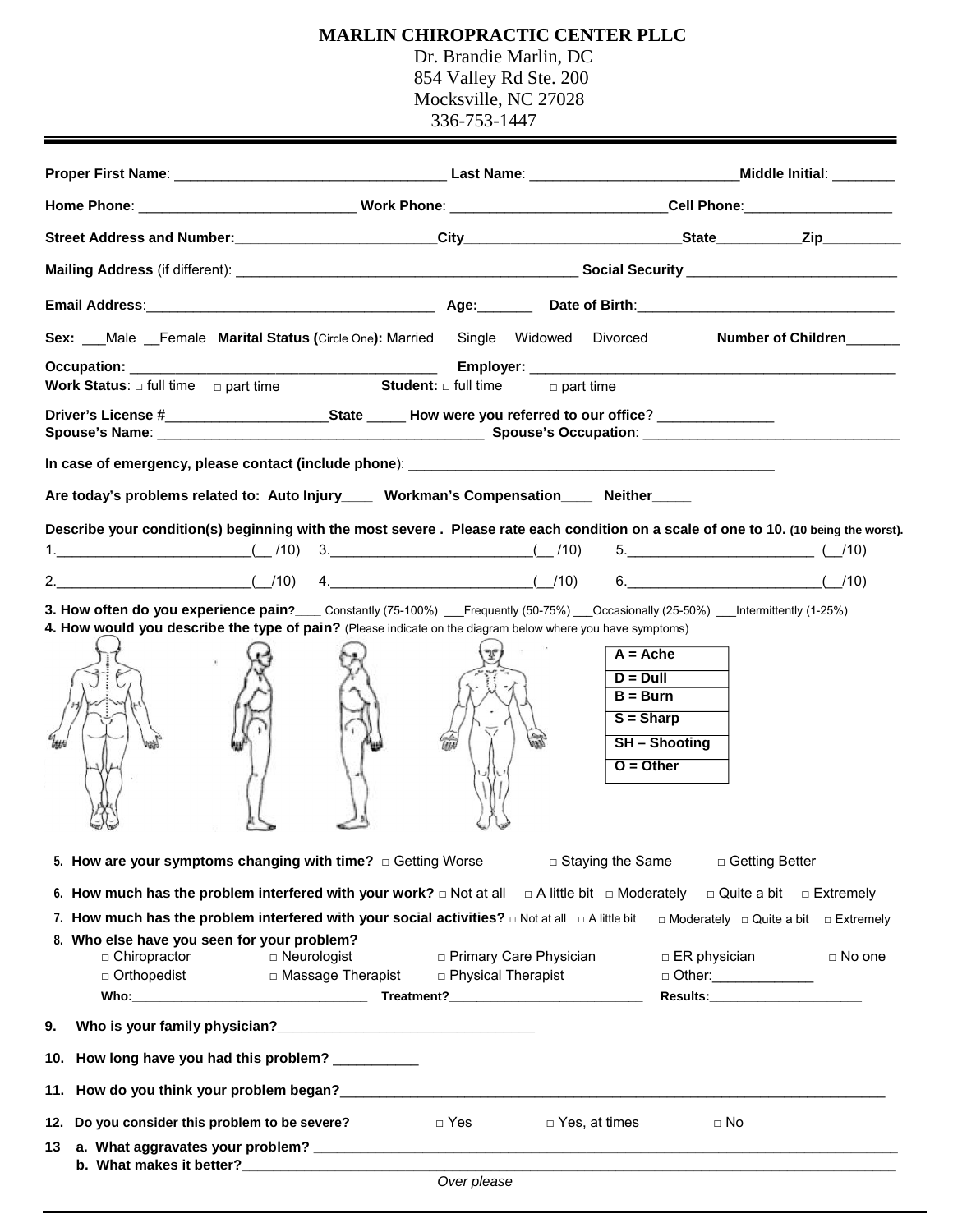## **MARLIN CHIROPRACTIC CENTER PLLC**

Dr. Brandie Marlin, DC 854 Valley Rd Ste. 200

Mocksville, NC 27028

336-753-1447

| Home Phone: ________________________________Work Phone: _________________________Cell Phone:__________________<br>Sex: Male Female Marital Status (Circle One): Married Single Widowed Divorced<br><b>Number of Children</b><br><b>Work Status:</b> $\Box$ full time $\Box$ part time <b>Student:</b> $\Box$ full time $\Box$ part time<br>Are today's problems related to: Auto Injury____ Workman's Compensation____ Neither____<br>Describe your condition(s) beginning with the most severe. Please rate each condition on a scale of one to 10. (10 being the worst).<br>$2.$ (10) 4. (10) 4.<br>3. How often do you experience pain?___ Constantly (75-100%) __Frequently (50-75%) __Occasionally (25-50%) __Intermittently (1-25%)<br>4. How would you describe the type of pain? (Please indicate on the diagram below where you have symptoms)<br>$A = Ache$<br>$D = D$ ull<br>$B = Burn$<br>$S = Sharp$<br><b>SH-Shooting</b><br>$O = Other$<br>5. How are your symptoms changing with time? $\Box$ Getting Worse<br>□ Getting Better<br>□ Staying the Same<br>6. How much has the problem interfered with your work? $\Box$ Not at all $\Box$ A little bit $\Box$ Moderately $\Box$ Quite a bit $\Box$ Extremely<br>7. How much has the problem interfered with your social activities? $\Box$ Not at all $\Box$ A little bit $\Box$ Moderately $\Box$ Quite a bit $\Box$ Extremely<br>8. Who else have you seen for your problem?<br>$\Box$ Chiropractor<br>$\Box$ Neurologist<br>□ Primary Care Physician<br>$\Box$ ER physician<br>□ Orthopedist Compassage Therapist<br>□ Physical Therapist<br>9.<br>10. How long have you had this problem? __________<br>12. Do you consider this problem to be severe?<br>□ Yes<br>□ Yes, at times<br>$\Box$ No<br>13 |  |  |             |  |  |               |
|--------------------------------------------------------------------------------------------------------------------------------------------------------------------------------------------------------------------------------------------------------------------------------------------------------------------------------------------------------------------------------------------------------------------------------------------------------------------------------------------------------------------------------------------------------------------------------------------------------------------------------------------------------------------------------------------------------------------------------------------------------------------------------------------------------------------------------------------------------------------------------------------------------------------------------------------------------------------------------------------------------------------------------------------------------------------------------------------------------------------------------------------------------------------------------------------------------------------------------------------------------------------------------------------------------------------------------------------------------------------------------------------------------------------------------------------------------------------------------------------------------------------------------------------------------------------------------------------------------------------------------------------------------------------------------------------------------------------------------------------------------------------------|--|--|-------------|--|--|---------------|
|                                                                                                                                                                                                                                                                                                                                                                                                                                                                                                                                                                                                                                                                                                                                                                                                                                                                                                                                                                                                                                                                                                                                                                                                                                                                                                                                                                                                                                                                                                                                                                                                                                                                                                                                                                          |  |  |             |  |  |               |
|                                                                                                                                                                                                                                                                                                                                                                                                                                                                                                                                                                                                                                                                                                                                                                                                                                                                                                                                                                                                                                                                                                                                                                                                                                                                                                                                                                                                                                                                                                                                                                                                                                                                                                                                                                          |  |  |             |  |  |               |
|                                                                                                                                                                                                                                                                                                                                                                                                                                                                                                                                                                                                                                                                                                                                                                                                                                                                                                                                                                                                                                                                                                                                                                                                                                                                                                                                                                                                                                                                                                                                                                                                                                                                                                                                                                          |  |  |             |  |  |               |
|                                                                                                                                                                                                                                                                                                                                                                                                                                                                                                                                                                                                                                                                                                                                                                                                                                                                                                                                                                                                                                                                                                                                                                                                                                                                                                                                                                                                                                                                                                                                                                                                                                                                                                                                                                          |  |  |             |  |  |               |
|                                                                                                                                                                                                                                                                                                                                                                                                                                                                                                                                                                                                                                                                                                                                                                                                                                                                                                                                                                                                                                                                                                                                                                                                                                                                                                                                                                                                                                                                                                                                                                                                                                                                                                                                                                          |  |  |             |  |  |               |
|                                                                                                                                                                                                                                                                                                                                                                                                                                                                                                                                                                                                                                                                                                                                                                                                                                                                                                                                                                                                                                                                                                                                                                                                                                                                                                                                                                                                                                                                                                                                                                                                                                                                                                                                                                          |  |  |             |  |  |               |
|                                                                                                                                                                                                                                                                                                                                                                                                                                                                                                                                                                                                                                                                                                                                                                                                                                                                                                                                                                                                                                                                                                                                                                                                                                                                                                                                                                                                                                                                                                                                                                                                                                                                                                                                                                          |  |  |             |  |  |               |
|                                                                                                                                                                                                                                                                                                                                                                                                                                                                                                                                                                                                                                                                                                                                                                                                                                                                                                                                                                                                                                                                                                                                                                                                                                                                                                                                                                                                                                                                                                                                                                                                                                                                                                                                                                          |  |  |             |  |  |               |
|                                                                                                                                                                                                                                                                                                                                                                                                                                                                                                                                                                                                                                                                                                                                                                                                                                                                                                                                                                                                                                                                                                                                                                                                                                                                                                                                                                                                                                                                                                                                                                                                                                                                                                                                                                          |  |  |             |  |  |               |
|                                                                                                                                                                                                                                                                                                                                                                                                                                                                                                                                                                                                                                                                                                                                                                                                                                                                                                                                                                                                                                                                                                                                                                                                                                                                                                                                                                                                                                                                                                                                                                                                                                                                                                                                                                          |  |  |             |  |  |               |
|                                                                                                                                                                                                                                                                                                                                                                                                                                                                                                                                                                                                                                                                                                                                                                                                                                                                                                                                                                                                                                                                                                                                                                                                                                                                                                                                                                                                                                                                                                                                                                                                                                                                                                                                                                          |  |  |             |  |  |               |
|                                                                                                                                                                                                                                                                                                                                                                                                                                                                                                                                                                                                                                                                                                                                                                                                                                                                                                                                                                                                                                                                                                                                                                                                                                                                                                                                                                                                                                                                                                                                                                                                                                                                                                                                                                          |  |  |             |  |  |               |
|                                                                                                                                                                                                                                                                                                                                                                                                                                                                                                                                                                                                                                                                                                                                                                                                                                                                                                                                                                                                                                                                                                                                                                                                                                                                                                                                                                                                                                                                                                                                                                                                                                                                                                                                                                          |  |  |             |  |  |               |
|                                                                                                                                                                                                                                                                                                                                                                                                                                                                                                                                                                                                                                                                                                                                                                                                                                                                                                                                                                                                                                                                                                                                                                                                                                                                                                                                                                                                                                                                                                                                                                                                                                                                                                                                                                          |  |  |             |  |  |               |
|                                                                                                                                                                                                                                                                                                                                                                                                                                                                                                                                                                                                                                                                                                                                                                                                                                                                                                                                                                                                                                                                                                                                                                                                                                                                                                                                                                                                                                                                                                                                                                                                                                                                                                                                                                          |  |  |             |  |  |               |
|                                                                                                                                                                                                                                                                                                                                                                                                                                                                                                                                                                                                                                                                                                                                                                                                                                                                                                                                                                                                                                                                                                                                                                                                                                                                                                                                                                                                                                                                                                                                                                                                                                                                                                                                                                          |  |  |             |  |  |               |
|                                                                                                                                                                                                                                                                                                                                                                                                                                                                                                                                                                                                                                                                                                                                                                                                                                                                                                                                                                                                                                                                                                                                                                                                                                                                                                                                                                                                                                                                                                                                                                                                                                                                                                                                                                          |  |  |             |  |  |               |
|                                                                                                                                                                                                                                                                                                                                                                                                                                                                                                                                                                                                                                                                                                                                                                                                                                                                                                                                                                                                                                                                                                                                                                                                                                                                                                                                                                                                                                                                                                                                                                                                                                                                                                                                                                          |  |  |             |  |  |               |
|                                                                                                                                                                                                                                                                                                                                                                                                                                                                                                                                                                                                                                                                                                                                                                                                                                                                                                                                                                                                                                                                                                                                                                                                                                                                                                                                                                                                                                                                                                                                                                                                                                                                                                                                                                          |  |  |             |  |  |               |
|                                                                                                                                                                                                                                                                                                                                                                                                                                                                                                                                                                                                                                                                                                                                                                                                                                                                                                                                                                                                                                                                                                                                                                                                                                                                                                                                                                                                                                                                                                                                                                                                                                                                                                                                                                          |  |  |             |  |  | $\Box$ No one |
|                                                                                                                                                                                                                                                                                                                                                                                                                                                                                                                                                                                                                                                                                                                                                                                                                                                                                                                                                                                                                                                                                                                                                                                                                                                                                                                                                                                                                                                                                                                                                                                                                                                                                                                                                                          |  |  |             |  |  |               |
|                                                                                                                                                                                                                                                                                                                                                                                                                                                                                                                                                                                                                                                                                                                                                                                                                                                                                                                                                                                                                                                                                                                                                                                                                                                                                                                                                                                                                                                                                                                                                                                                                                                                                                                                                                          |  |  |             |  |  |               |
|                                                                                                                                                                                                                                                                                                                                                                                                                                                                                                                                                                                                                                                                                                                                                                                                                                                                                                                                                                                                                                                                                                                                                                                                                                                                                                                                                                                                                                                                                                                                                                                                                                                                                                                                                                          |  |  |             |  |  |               |
|                                                                                                                                                                                                                                                                                                                                                                                                                                                                                                                                                                                                                                                                                                                                                                                                                                                                                                                                                                                                                                                                                                                                                                                                                                                                                                                                                                                                                                                                                                                                                                                                                                                                                                                                                                          |  |  |             |  |  |               |
|                                                                                                                                                                                                                                                                                                                                                                                                                                                                                                                                                                                                                                                                                                                                                                                                                                                                                                                                                                                                                                                                                                                                                                                                                                                                                                                                                                                                                                                                                                                                                                                                                                                                                                                                                                          |  |  |             |  |  |               |
|                                                                                                                                                                                                                                                                                                                                                                                                                                                                                                                                                                                                                                                                                                                                                                                                                                                                                                                                                                                                                                                                                                                                                                                                                                                                                                                                                                                                                                                                                                                                                                                                                                                                                                                                                                          |  |  |             |  |  |               |
|                                                                                                                                                                                                                                                                                                                                                                                                                                                                                                                                                                                                                                                                                                                                                                                                                                                                                                                                                                                                                                                                                                                                                                                                                                                                                                                                                                                                                                                                                                                                                                                                                                                                                                                                                                          |  |  | Over please |  |  |               |